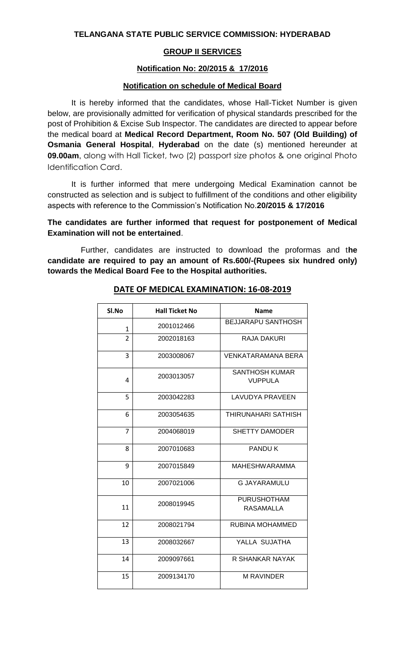### **GROUP II SERVICES**

#### **Notification No: 20/2015 & 17/2016**

#### **Notification on schedule of Medical Board**

It is hereby informed that the candidates, whose Hall-Ticket Number is given below, are provisionally admitted for verification of physical standards prescribed for the post of Prohibition & Excise Sub Inspector. The candidates are directed to appear before the medical board at **Medical Record Department, Room No. 507 (Old Building) of Osmania General Hospital**, **Hyderabad** on the date (s) mentioned hereunder at **09.00am**, along with Hall Ticket, two (2) passport size photos & one original Photo Identification Card.

It is further informed that mere undergoing Medical Examination cannot be constructed as selection and is subject to fulfillment of the conditions and other eligibility aspects with reference to the Commission's Notification No.**20/2015 & 17/2016**

### **The candidates are further informed that request for postponement of Medical Examination will not be entertained**.

Further, candidates are instructed to download the proformas and t**he candidate are required to pay an amount of Rs.600/-(Rupees six hundred only) towards the Medical Board Fee to the Hospital authorities.**

| Sl.No          | <b>Hall Ticket No</b> | <b>Name</b>                             |
|----------------|-----------------------|-----------------------------------------|
| $\mathbf{1}$   | 2001012466            | <b>BEJJARAPU SANTHOSH</b>               |
| $\overline{2}$ | 2002018163            | RAJA DAKURI                             |
| 3              | 2003008067            | <b>VENKATARAMANA BERA</b>               |
| 4              | 2003013057            | <b>SANTHOSH KUMAR</b><br><b>VUPPULA</b> |
| 5              | 2003042283            | <b>LAVUDYA PRAVEEN</b>                  |
| 6              | 2003054635            | THIRUNAHARI SATHISH                     |
| $\overline{7}$ | 2004068019            | <b>SHETTY DAMODER</b>                   |
| 8              | 2007010683            | <b>PANDUK</b>                           |
| 9              | 2007015849            | <b>MAHESHWARAMMA</b>                    |
| 10             | 2007021006            | <b>G JAYARAMULU</b>                     |
| 11             | 2008019945            | <b>PURUSHOTHAM</b><br>RASAMALLA         |
| 12             | 2008021794            | RUBINA MOHAMMED                         |
| 13             | 2008032667            | YALLA SUJATHA                           |
| 14             | 2009097661            | R SHANKAR NAYAK                         |
| 15             | 2009134170            | <b>M RAVINDER</b>                       |

## **DATE OF MEDICAL EXAMINATION: 16-08-2019**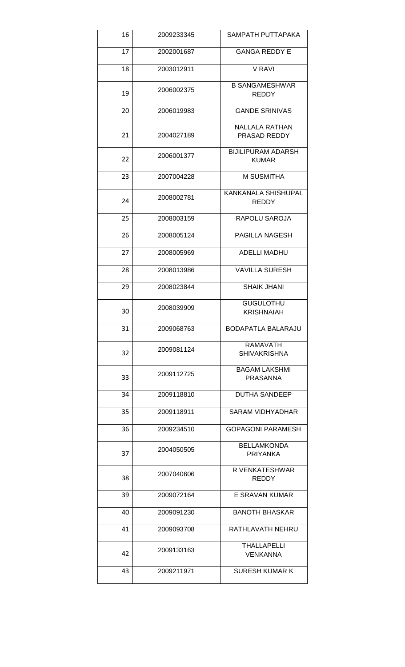| 16 | 2009233345 | SAMPATH PUTTAPAKA                         |
|----|------------|-------------------------------------------|
| 17 | 2002001687 | <b>GANGA REDDY E</b>                      |
| 18 | 2003012911 | V RAVI                                    |
| 19 | 2006002375 | <b>B SANGAMESHWAR</b><br><b>REDDY</b>     |
| 20 | 2006019983 | <b>GANDE SRINIVAS</b>                     |
| 21 | 2004027189 | <b>NALLALA RATHAN</b><br>PRASAD REDDY     |
| 22 | 2006001377 | <b>BIJILIPURAM ADARSH</b><br><b>KUMAR</b> |
| 23 | 2007004228 | <b>M SUSMITHA</b>                         |
| 24 | 2008002781 | KANKANALA SHISHUPAL<br><b>REDDY</b>       |
| 25 | 2008003159 | <b>RAPOLU SAROJA</b>                      |
| 26 | 2008005124 | PAGILLA NAGESH                            |
| 27 | 2008005969 | <b>ADELLI MADHU</b>                       |
| 28 | 2008013986 | <b>VAVILLA SURESH</b>                     |
| 29 | 2008023844 | <b>SHAIK JHANI</b>                        |
| 30 | 2008039909 | <b>GUGULOTHU</b><br><b>KRISHNAIAH</b>     |
| 31 | 2009068763 | BODAPATLA BALARAJU                        |
| 32 | 2009081124 | <b>RAMAVATH</b><br><b>SHIVAKRISHNA</b>    |
| 33 | 2009112725 | <b>BAGAM LAKSHMI</b><br><b>PRASANNA</b>   |
| 34 | 2009118810 | <b>DUTHA SANDEEP</b>                      |
| 35 | 2009118911 | <b>SARAM VIDHYADHAR</b>                   |
| 36 | 2009234510 | <b>GOPAGONI PARAMESH</b>                  |
| 37 | 2004050505 | <b>BELLAMKONDA</b><br><b>PRIYANKA</b>     |
| 38 | 2007040606 | R VENKATESHWAR<br><b>REDDY</b>            |
| 39 | 2009072164 | E SRAVAN KUMAR                            |
| 40 | 2009091230 | <b>BANOTH BHASKAR</b>                     |
| 41 | 2009093708 | RATHLAVATH NEHRU                          |
| 42 | 2009133163 | <b>THALLAPELLI</b><br><b>VENKANNA</b>     |
| 43 | 2009211971 | <b>SURESH KUMAR K</b>                     |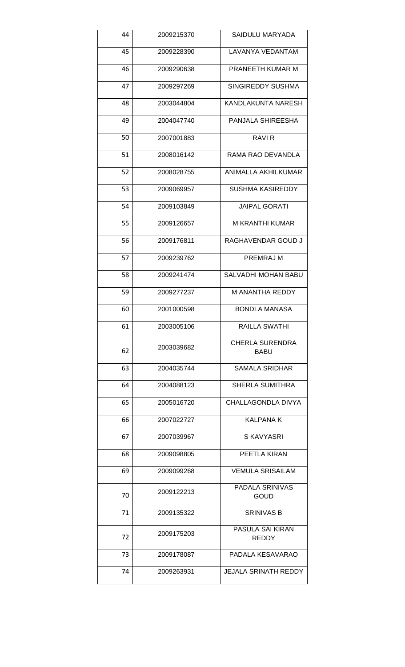| 44 | 2009215370 | SAIDULU MARYADA                       |
|----|------------|---------------------------------------|
| 45 | 2009228390 | LAVANYA VEDANTAM                      |
| 46 | 2009290638 | PRANEETH KUMAR M                      |
| 47 | 2009297269 | SINGIREDDY SUSHMA                     |
| 48 | 2003044804 | KANDLAKUNTA NARESH                    |
| 49 | 2004047740 | PANJALA SHIREESHA                     |
| 50 | 2007001883 | RAVI <sub>R</sub>                     |
| 51 | 2008016142 | RAMA RAO DEVANDLA                     |
| 52 | 2008028755 | ANIMALLA AKHILKUMAR                   |
| 53 | 2009069957 | <b>SUSHMA KASIREDDY</b>               |
| 54 | 2009103849 | <b>JAIPAL GORATI</b>                  |
| 55 | 2009126657 | M KRANTHI KUMAR                       |
| 56 | 2009176811 | RAGHAVENDAR GOUD J                    |
| 57 | 2009239762 | <b>PREMRAJ M</b>                      |
| 58 | 2009241474 | SALVADHI MOHAN BABU                   |
| 59 | 2009277237 | M ANANTHA REDDY                       |
| 60 | 2001000598 | <b>BONDLA MANASA</b>                  |
| 61 | 2003005106 | RAILLA SWATHI                         |
| 62 | 2003039682 | <b>CHERLA SURENDRA</b><br><b>BABU</b> |
| 63 | 2004035744 | <b>SAMALA SRIDHAR</b>                 |
| 64 | 2004088123 | <b>SHERLA SUMITHRA</b>                |
| 65 | 2005016720 | CHALLAGONDLA DIVYA                    |
| 66 | 2007022727 | <b>KALPANA K</b>                      |
| 67 | 2007039967 | S KAVYASRI                            |
| 68 | 2009098805 | PEETLA KIRAN                          |
| 69 | 2009099268 | <b>VEMULA SRISAILAM</b>               |
| 70 | 2009122213 | PADALA SRINIVAS<br><b>GOUD</b>        |
| 71 | 2009135322 | <b>SRINIVAS B</b>                     |
| 72 | 2009175203 | PASULA SAI KIRAN<br><b>REDDY</b>      |
| 73 | 2009178087 | PADALA KESAVARAO                      |
| 74 | 2009263931 | <b>JEJALA SRINATH REDDY</b>           |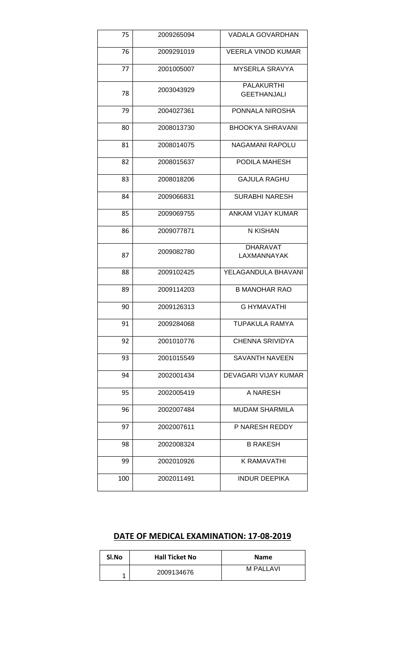| 75  | 2009265094 | <b>VADALA GOVARDHAN</b>        |
|-----|------------|--------------------------------|
| 76  | 2009291019 | <b>VEERLA VINOD KUMAR</b>      |
| 77  | 2001005007 | <b>MYSERLA SRAVYA</b>          |
|     |            | <b>PALAKURTHI</b>              |
| 78  | 2003043929 | <b>GEETHANJALI</b>             |
| 79  | 2004027361 | PONNALA NIROSHA                |
| 80  | 2008013730 | <b>BHOOKYA SHRAVANI</b>        |
| 81  | 2008014075 | NAGAMANI RAPOLU                |
| 82  | 2008015637 | PODILA MAHESH                  |
| 83  | 2008018206 | <b>GAJULA RAGHU</b>            |
| 84  | 2009066831 | <b>SURABHI NARESH</b>          |
| 85  | 2009069755 | ANKAM VIJAY KUMAR              |
| 86  | 2009077871 | N KISHAN                       |
| 87  | 2009082780 | <b>DHARAVAT</b><br>LAXMANNAYAK |
| 88  | 2009102425 | YELAGANDULA BHAVANI            |
| 89  | 2009114203 | <b>B MANOHAR RAO</b>           |
| 90  | 2009126313 | <b>G HYMAVATHI</b>             |
| 91  | 2009284068 | <b>TUPAKULA RAMYA</b>          |
| 92  | 2001010776 | <b>CHENNA SRIVIDYA</b>         |
| 93  | 2001015549 | <b>SAVANTH NAVEEN</b>          |
| 94  | 2002001434 | <b>DEVAGARI VIJAY KUMAR</b>    |
| 95  | 2002005419 | A NARESH                       |
| 96  | 2002007484 | <b>MUDAM SHARMILA</b>          |
| 97  | 2002007611 | P NARESH REDDY                 |
| 98  | 2002008324 | <b>B RAKESH</b>                |
| 99  | 2002010926 | K RAMAVATHI                    |
| 100 | 2002011491 | <b>INDUR DEEPIKA</b>           |

# **DATE OF MEDICAL EXAMINATION: 17-08-2019**

| Sl.No | <b>Hall Ticket No</b> | <b>Name</b> |
|-------|-----------------------|-------------|
|       | 2009134676            | M PALLAVI   |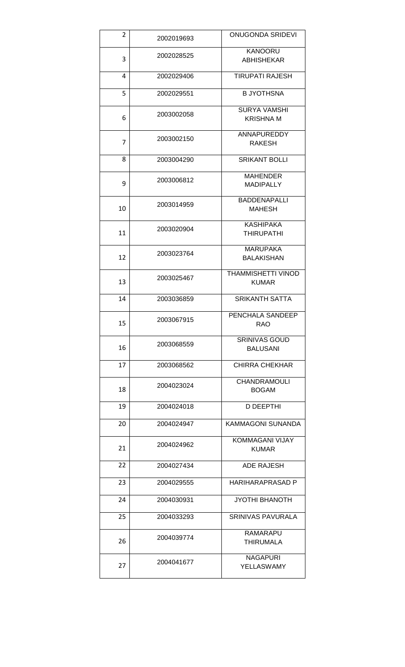| 2  | 2002019693 | <b>ONUGONDA SRIDEVI</b>                   |
|----|------------|-------------------------------------------|
|    |            | <b>KANOORU</b>                            |
| 3  | 2002028525 | <b>ABHISHEKAR</b>                         |
| 4  | 2002029406 | <b>TIRUPATI RAJESH</b>                    |
| 5  | 2002029551 | <b>B JYOTHSNA</b>                         |
|    |            | <b>SURYA VAMSHI</b>                       |
| 6  | 2003002058 | <b>KRISHNA M</b>                          |
| 7  | 2003002150 | ANNAPUREDDY<br><b>RAKESH</b>              |
| 8  | 2003004290 | <b>SRIKANT BOLLI</b>                      |
|    |            | <b>MAHENDER</b>                           |
| 9  | 2003006812 | <b>MADIPALLY</b>                          |
|    |            | <b>BADDENAPALLI</b>                       |
| 10 | 2003014959 | <b>MAHESH</b>                             |
|    |            | <b>KASHIPAKA</b>                          |
| 11 | 2003020904 | <b>THIRUPATHI</b>                         |
|    |            | <b>MARUPAKA</b>                           |
| 12 | 2003023764 | <b>BALAKISHAN</b>                         |
| 13 | 2003025467 | <b>THAMMISHETTI VINOD</b><br><b>KUMAR</b> |
|    |            |                                           |
| 14 | 2003036859 | <b>SRIKANTH SATTA</b>                     |
| 15 | 2003067915 | PENCHALA SANDEEP<br><b>RAO</b>            |
| 16 | 2003068559 | <b>SRINIVAS GOUD</b><br><b>BALUSANI</b>   |
| 17 | 2003068562 | <b>CHIRRA CHEKHAR</b>                     |
| 18 | 2004023024 | <b>CHANDRAMOULI</b><br><b>BOGAM</b>       |
| 19 | 2004024018 | D DEEPTHI                                 |
| 20 | 2004024947 | KAMMAGONI SUNANDA                         |
| 21 | 2004024962 | <b>KOMMAGANI VIJAY</b><br><b>KUMAR</b>    |
| 22 | 2004027434 | <b>ADE RAJESH</b>                         |
| 23 | 2004029555 | HARIHARAPRASAD P                          |
| 24 | 2004030931 | <b>JYOTHI BHANOTH</b>                     |
| 25 | 2004033293 | <b>SRINIVAS PAVURALA</b>                  |
|    |            | RAMARAPU                                  |
| 26 | 2004039774 | THIRUMALA                                 |
| 27 | 2004041677 | <b>NAGAPURI</b><br>YELLASWAMY             |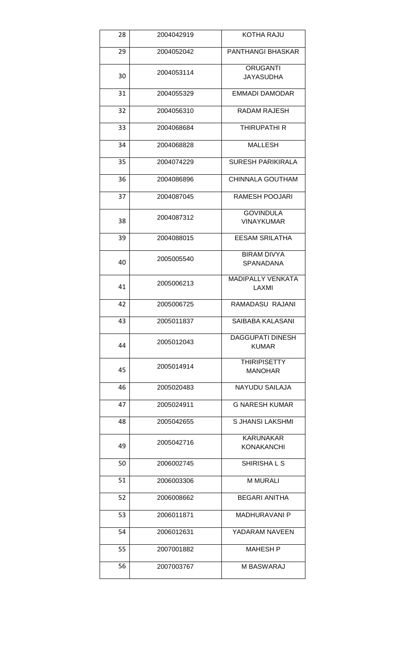| 28 | 2004042919 | KOTHA RAJU                              |
|----|------------|-----------------------------------------|
| 29 | 2004052042 | PANTHANGI BHASKAR                       |
| 30 | 2004053114 | <b>ORUGANTI</b><br><b>JAYASUDHA</b>     |
| 31 | 2004055329 | <b>EMMADI DAMODAR</b>                   |
| 32 | 2004056310 | RADAM RAJESH                            |
| 33 | 2004068684 | THIRUPATHI R                            |
| 34 | 2004068828 | MALLESH                                 |
| 35 | 2004074229 | <b>SURESH PARIKIRALA</b>                |
| 36 | 2004086896 | <b>CHINNALA GOUTHAM</b>                 |
| 37 | 2004087045 | RAMESH POOJARI                          |
| 38 | 2004087312 | <b>GOVINDULA</b><br><b>VINAYKUMAR</b>   |
| 39 | 2004088015 | <b>EESAM SRILATHA</b>                   |
| 40 | 2005005540 | <b>BIRAM DIVYA</b><br>SPANADANA         |
| 41 | 2005006213 | <b>MADIPALLY VENKATA</b><br>LAXMI       |
| 42 | 2005006725 | RAMADASU RAJANI                         |
| 43 | 2005011837 | SAIBABA KALASANI                        |
| 44 | 2005012043 | <b>DAGGUPATI DINESH</b><br><b>KUMAR</b> |
| 45 | 2005014914 | <b>THIRIPISETTY</b><br><b>MANOHAR</b>   |
| 46 | 2005020483 | <b>NAYUDU SAILAJA</b>                   |
| 47 | 2005024911 | <b>G NARESH KUMAR</b>                   |
| 48 | 2005042655 | S JHANSI LAKSHMI                        |
| 49 | 2005042716 | <b>KARUNAKAR</b><br>KONAKANCHI          |
| 50 | 2006002745 | SHIRISHA L S                            |
| 51 | 2006003306 | <b>M MURALI</b>                         |
| 52 | 2006008662 | <b>BEGARI ANITHA</b>                    |
| 53 | 2006011871 | <b>MADHURAVANI P</b>                    |
| 54 | 2006012631 | YADARAM NAVEEN                          |
| 55 | 2007001882 | <b>MAHESH P</b>                         |
| 56 | 2007003767 | M BASWARAJ                              |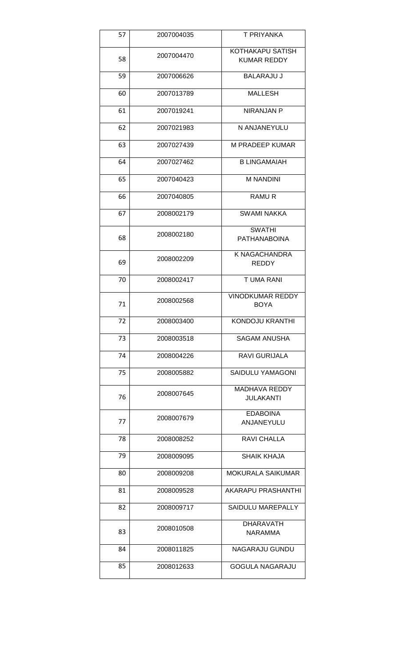| 57 | 2007004035 | T PRIYANKA                                    |
|----|------------|-----------------------------------------------|
| 58 | 2007004470 | <b>KOTHAKAPU SATISH</b><br><b>KUMAR REDDY</b> |
| 59 | 2007006626 | <b>BALARAJU J</b>                             |
| 60 | 2007013789 | <b>MALLESH</b>                                |
| 61 | 2007019241 | NIRANJAN P                                    |
| 62 | 2007021983 | N ANJANEYULU                                  |
| 63 | 2007027439 | M PRADEEP KUMAR                               |
| 64 | 2007027462 | <b>B LINGAMAIAH</b>                           |
| 65 | 2007040423 | <b>M NANDINI</b>                              |
| 66 | 2007040805 | <b>RAMUR</b>                                  |
| 67 | 2008002179 | <b>SWAMI NAKKA</b>                            |
| 68 | 2008002180 | <b>SWATHI</b><br><b>PATHANABOINA</b>          |
| 69 | 2008002209 | K NAGACHANDRA<br><b>REDDY</b>                 |
| 70 | 2008002417 | T UMA RANI                                    |
| 71 | 2008002568 | <b>VINODKUMAR REDDY</b><br><b>BOYA</b>        |
| 72 | 2008003400 | <b>KONDOJU KRANTHI</b>                        |
| 73 | 2008003518 | SAGAM ANUSHA                                  |
| 74 | 2008004226 | RAVI GURIJALA                                 |
| 75 | 2008005882 | SAIDULU YAMAGONI                              |
| 76 | 2008007645 | <b>MADHAVA REDDY</b><br><b>JULAKANTI</b>      |
| 77 | 2008007679 | <b>EDABOINA</b><br>ANJANEYULU                 |
| 78 | 2008008252 | RAVI CHALLA                                   |
| 79 | 2008009095 | SHAIK KHAJA                                   |
| 80 | 2008009208 | <b>MOKURALA SAIKUMAR</b>                      |
| 81 | 2008009528 | AKARAPU PRASHANTHI                            |
| 82 | 2008009717 | SAIDULU MAREPALLY                             |
| 83 | 2008010508 | <b>DHARAVATH</b><br>NARAMMA                   |
| 84 | 2008011825 | NAGARAJU GUNDU                                |
| 85 | 2008012633 | <b>GOGULA NAGARAJU</b>                        |